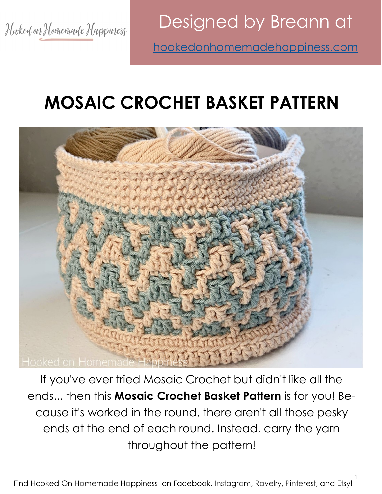Designed by Breann at <hookedonhomemadehappiness.com>

# **MOSAIC CROCHET BASKET PATTERN**



If you've ever tried Mosaic Crochet but didn't like all the ends... then this **Mosaic Crochet Basket Pattern** is for you! Because it's worked in the round, there aren't all those pesky ends at the end of each round. Instead, carry the yarn throughout the pattern!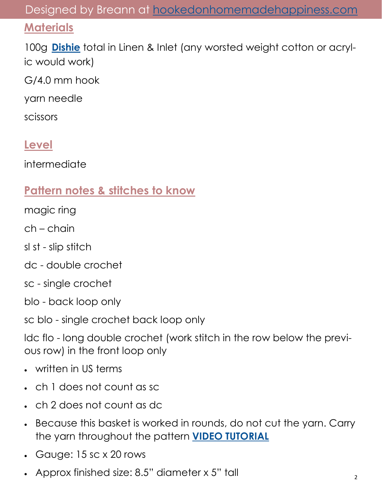### Designed by Breann at <hookedonhomemadehappiness.com>

### **Materials**

100g **[Dishie](https://shrsl.com/3if3v)** total in Linen & Inlet (any worsted weight cotton or acrylic would work)

G/4.0 mm hook

yarn needle

scissors

## **Level**

intermediate

## **Pattern notes & stitches to know**

- magic ring
- ch chain
- sl st slip stitch
- dc double crochet
- sc single crochet

blo - back loop only

sc blo - single crochet back loop only

ldc flo - long double crochet (work stitch in the row below the previous row) in the front loop only

- written in US terms
- ch 1 does not count as sc
- ch 2 does not count as dc
- Because this basket is worked in rounds, do not cut the yarn. Carry the yarn throughout the pattern **[VIDEO TUTORIAL](https://www.youtube.com/watch?v=z1UnLzO7SHE&t=5s)**
- Gauge: 15 sc x 20 rows
- Approx finished size: 8.5" diameter x 5" tall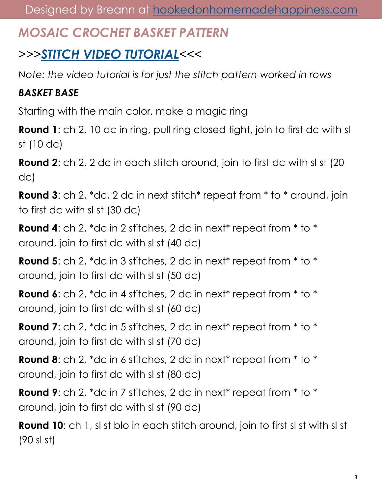Designed by Breann at <hookedonhomemadehappiness.com>

# *MOSAIC CROCHET BASKET PATTERN*

# *>>>[STITCH VIDEO TUTORIAL](https://www.youtube.com/watch?v=jWio75YwhG0)<<<*

*Note: the video tutorial is for just the stitch pattern worked in rows*

### *BASKET BASE*

Starting with the main color, make a magic ring

**Round 1:** ch 2, 10 dc in ring, pull ring closed tight, join to first dc with sl st (10 dc)

**Round 2**: ch 2, 2 dc in each stitch around, join to first dc with sl st (20 dc)

**Round 3:** ch 2, \*dc, 2 dc in next stitch\* repeat from \* to \* around, join to first dc with sl st (30 dc)

**Round 4:** ch 2, \*dc in 2 stitches, 2 dc in next\* repeat from \* to \* around, join to first dc with sl st (40 dc)

**Round 5:** ch 2, \*dc in 3 stitches, 2 dc in next\* repeat from \* to \* around, join to first dc with sl st (50 dc)

**Round 6:** ch 2, \*dc in 4 stitches, 2 dc in next\* repeat from \* to \* around, join to first dc with sl st (60 dc)

**Round 7:** ch 2, \*dc in 5 stitches, 2 dc in next\* repeat from \* to \* around, join to first dc with sl st (70 dc)

**Round 8**: ch 2, \*dc in 6 stitches, 2 dc in next\* repeat from \* to \* around, join to first dc with sl st (80 dc)

**Round 9:** ch 2, \*dc in 7 stitches, 2 dc in next\* repeat from \* to \* around, join to first dc with sl st (90 dc)

**Round 10:** ch 1, sl st blo in each stitch around, join to first sl st with sl st (90 sl st)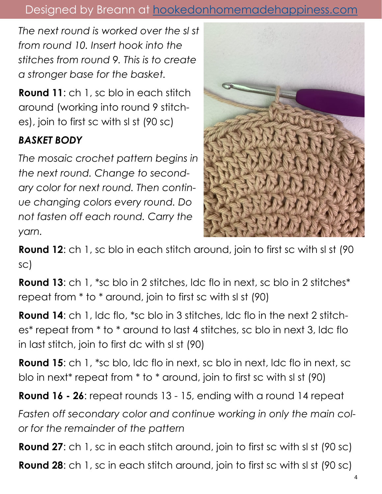### Designed by Breann at <hookedonhomemadehappiness.com>

*The next round is worked over the sl st from round 10. Insert hook into the stitches from round 9. This is to create a stronger base for the basket.*

**Round 11**: ch 1, sc blo in each stitch around (working into round 9 stitches), join to first sc with sl st (90 sc)

### *BASKET BODY*

*The mosaic crochet pattern begins in the next round. Change to secondary color for next round. Then continue changing colors every round. Do not fasten off each round. Carry the yarn.*



**Round 12:** ch 1, sc blo in each stitch around, join to first sc with sl st (90) sc)

**Round 13:** ch 1, \*sc blo in 2 stitches, Idc flo in next, sc blo in 2 stitches\* repeat from \* to \* around, join to first sc with sl st (90)

**Round 14:** ch 1, ldc flo, \*sc blo in 3 stitches, ldc flo in the next 2 stitches\* repeat from \* to \* around to last 4 stitches, sc blo in next 3, ldc flo in last stitch, join to first dc with sl st (90)

**Round 15:** ch 1, \*sc blo, ldc flo in next, sc blo in next, ldc flo in next, sc blo in next\* repeat from \* to \* around, join to first sc with sl st (90)

**Round 16 - 26**: repeat rounds 13 - 15, ending with a round 14 repeat

*Fasten off secondary color and continue working in only the main color for the remainder of the pattern*

**Round 27:** ch 1, sc in each stitch around, join to first sc with sl st (90 sc) **Round 28:** ch 1, sc in each stitch around, join to first sc with sl st (90 sc)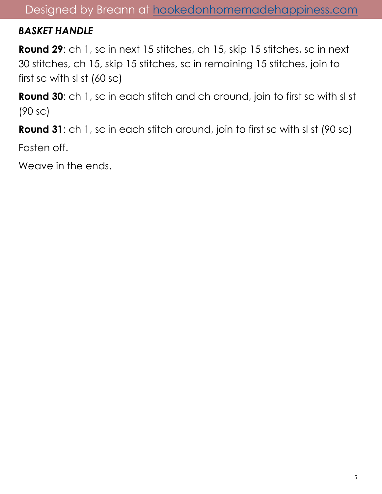#### *BASKET HANDLE*

**Round 29**: ch 1, sc in next 15 stitches, ch 15, skip 15 stitches, sc in next 30 stitches, ch 15, skip 15 stitches, sc in remaining 15 stitches, join to first sc with sl st (60 sc)

**Round 30**: ch 1, sc in each stitch and ch around, join to first sc with sl st (90 sc)

**Round 31**: ch 1, sc in each stitch around, join to first sc with sl st (90 sc)

Fasten off.

Weave in the ends.